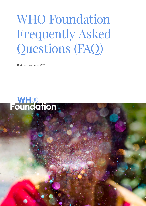# WHO Foundation Frequently Asked Questions (FAQ)

Who Foundation - FAQ - November 2020 **1** 2020 **1** 2020 **1** 2020 **1** 2020 **1** 2020 **1** 2020 **1** 2020 **1** 2020 **1** 2020 **1** 2020 **1** 2020 **1** 2020 **1** 2020 **1** 2020 **1** 2020 **1** 2020 **1** 2020 **1** 2020 **1** 2020 **1** 2020 **1** 2

Updated November 2020

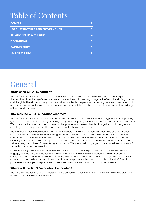# Table of Contents

| <b>GENERAL</b>                        |  |
|---------------------------------------|--|
| <b>LEGAL STRUCTURE AND GOVERNANCE</b> |  |
| <b>RELATIONSHIP WITH WHO</b>          |  |
| <b>DONATIONS</b>                      |  |
| <b>PARTNERSHIPS</b>                   |  |
| <b>GRANT-MAKING</b>                   |  |

### <span id="page-1-0"></span>General

#### **What is the WHO Foundation?**

The WHO Foundation is an independent grant-making foundation, based in Geneva, that sets out to protect the health and well-being of everyone in every part of the world, working alongside the World Health Organization and the global health community. It supports donors, scientists, experts, implementing partners, advocates, and more, from every country, in rapidly finding new and better solutions to the most pressing global health challenges of today and tomorrow.

#### **Why was the WHO Foundation created?**

The WHO Foundation has been set up with the vision to invest in every life. Tackling the biggest and most pressing global health challenges faced by humanity today, while preparing for those we will face tomorrow, is now critical. We have to be far more prepared to avoid further pandemics, prevent climate change health challenges from crippling our health systems and to ensure preventable diseases are avoided.

The Foundation was in development for nearly two years before it was launched in May 2020 and the impact of COVID-19 has shown even further the urgent need for investment in health. The Foundation funds programs and initiatives related to the three WHO pillars, and essential themes that are the foundations of better health. Currently, the WHO is not set up to approach individual or corporate donors. The WHO Foundation is dedicated to fundraising and tailored for specific types of donors. We speak their language, and we have the ability to craft tailored projects and partnerships.

For example, High Net Worth Individuals (HNWIs) look for a personalized process in which they can invest and engage, and the WHO Foundation can provide that. Furthermore, the WHO Foundation, as an independent entity, can offer tax incentives to donors. Similarly, WHO is not set up for donations from the general public where an internal system to handle donations would risk overly high transaction costs. In addition, the WHO Foundation provides a further layer of separation to protect the normative work of WHO from undue influence.

#### **Where will the WHO Foundation be located?**

The WHO Foundation has been established in the canton of Geneva, Switzerland. It works with service providers or liaison officers in key donor markets.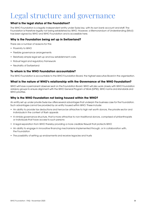## <span id="page-2-0"></span>Legal structure and governance

#### **What is the legal status of the Foundation?**

The WHO Foundation is a legally independent entity under Swiss law, with its own bank account and staff. The Foundation is therefore legally not being established by WHO. However, a Memorandum of Understanding (MoU) has been signed by WHO and WHO Foundation and is accessible here.

#### **Why is the Foundation being set up in Switzerland?**

There are a number of reasons for this:

- Proximity to WHO
- Flexible governance arrangements
- Relatively simple legal set-up and low establishment costs
- Robust legal and regulatory framework
- Neutrality of Switzerland

#### **To whom is the WHO Foundation accountable?**

The WHO Foundation is accountable to the WHO Foundation Board, the highest executive Board in the organisation.

#### **What is the nature of WHO's relationship with the Governance of the WHO Foundation?**

WHO will have a permanent observer seat on the Foundation Board. WHO will also work closely with WHO Foundation advisory groups to ensure alignment with the WHO General Program of Work (GPW), WHO norms and standards and WHO priorities.

#### **Why is the WHO Foundation not being housed within the WHO?**

An entity set up under private Swiss law offers several advantages that underpin the business case for the Foundation. Such advantages cannot be provided by an entity housed within WHO. These include:

- An ability to provide tax deductions and hence be attractive to high net worth donors, the private sector and individuals in the context of flash appeals
- A nimble governance structure, that is more attractive to non-traditional donors, comprised of philanthropists or individuals that have access to such persons
- A legal separation from WHO thereby providing a more credible firewall that protects WHO
- An ability to engage in innovative financing mechanisms implemented through, or in collaboration with, the Foundation
- The possibility of setting up endowments and receive legacies and trusts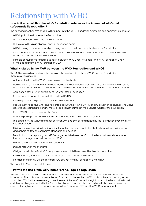# <span id="page-3-0"></span>Relationship with WHO

#### **How is it ensured that the WHO Foundation advances the interest of WHO and safeguards its reputation?**

The following mechanisms enable WHO's input into the WHO Foundation's strategic and operational conducts:

- WHO input in the statutes of the Foundation
- The MoU between WHO and the Foundation
- The role of WHO as an observer on the Foundation board
- WHO in being a member of, and proposing persons to be in, advisory bodies of the Foundation
- Close consultations between the Director General of WHO and the WHO Foundation Chair of the Board on the process and selection of the CEO
- Periodic consultations (at least quarterly) between WHO Director General, the WHO Foundation Chair of the Board and the WHO Foundation CEO

#### **What is stated in the MoU between the WHO Foundation and WHO?**

The MoU contains key provisions that regulate the relationship between WHO and the Foundation. These provisions include:

- Authorization to use the WHO name on a revocable basis
- Description of a mechanism that would require the Foundation to work with WHO in identifying WHO areas, on a high level, that need to be funded and for which the Foundation can solicit funds in a flexible manner
- Application of the FENSA principles to the work of the Foundation
- Requirement for periodic consultations with WHO DG
- Possibility for WHO to propose potential Board nominees
- Requirement to consult with, and take into account, the views of, WHO on any governance changes including governance composition or any material decisions that impact the business model of the Foundation
- Role of WHO as an observer on the Board
- Ability to participate in, and nominate members of, Foundation advisory groups
- The aim to provide WHO as a target between 70% and 80% of funds raised by the Foundation over any given two-year period
- Obligation to only provide funding to implementing partners or activities that advance the priorities of WHO and adhere to its technical norms, standards and policies
- Description of the reporting and M&E arrangements between WHO and the Foundation and assurance that such arrangements will not burden WHO
- WHO's right of audit over Foundation accounts
- Dispute resolution mechanisms
- Obligation to indemnify WHO for any losses, claims, liabilities caused by its acts or omissions
- Provision stating that If MOU is terminated, right to use WHO name ceases
- Provision that is the MOU is terminated, 70% of funds held by Foundation go to WHO

The complete MoU is accessible here.

#### **How will the use of the WHO name/brand/logo be regulated?**

The WHO name is licensed to the Foundation on terms included in the MoU between WHO and the WHO Foundation. The authorization to use the WHO name can be revoked by WHO at any time and for any reason. In addition, WHO will ensure oversight over the use of the WHO name through its role on the Foundation Board and through its agreement with the Foundation. Issues of concern that may arise will also be addressed and resolved through periodic exchanges between the Foundation CEO and the WHO management.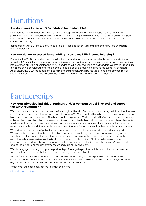# <span id="page-4-0"></span>Donations

#### **Are donations to the WHO Foundation tax deductible?**

Donations to the WHO Foundation are enabled through Transnational Giving Europe (TGE), a network of philanthropic institutions collaborating to foster charitable giving within Europe, to make donations by European residents (of 21 countries) eligible for tax deduction in their own country. Donations from US American citizens are enabled through a

collaboration with a US 501c3 entity to be eligible for tax deduction. Similar arrangements will be pursued for other jurisdictions.

#### **How are donors assessed for suitability? How does FENSA come into play?**

Protecting the WHO Foundation and the WHO from reputational risks is a top priority. The WHO Foundation will follow FENSA principles when accepting donations and vetting donors. For all questions of the WHO Foundation's interpretation of FENSA principles, the WHO Foundation will consult with the WHO. Standard Operating Procedures (SoPs) are being developed and implemented to frame decision-making related to the suitability of donors. Additionally, the CEO, management, Board members and donors will be required to declare any conflicts of interest. Further, due diligence will be done for all recruitment of staff and on potential donors.

# <span id="page-4-1"></span>Partnerships

#### **How can interested individual partners and/or companies get involved and support the WHO Foundation?**

We build partnerships that can change the face of global health. Our aim is to build strong collaborations that are right for each theme and initiative. We work with partners WHO has not traditionally been able to engage, due to high transaction costs, structural difficulties, or lack of experience. While applying FENSA principles, we encourage collaborations based on aligned interests and big ambitions. We believe in leveraging the strengths and expertise of all our partners, while releasing previously unavailable funding and resources. Building a healthier future for people around the world demands flexible and coordinated efforts on a scale that has never been seen before.

We understand our partners' philanthropic engagements, such as the causes and partners they support. We work with them to craft individual donations and support. We bring donors and partners on the ground together, creating connections and teams, sharing results and information, and providing expert analysis, so that together we can discover the best possible world health solutions. All of our initiatives are grounded in research and evidence-based approaches, with measuring impact built in from the outset. We start small, and based on data-driven achievements, we scale up our involvement.

We also engage in strategic corporate partnerships. These go beyond financial contributions alone: we also welcome in-kind expertise that supports us in meeting our shared objectives.

The WHO Foundation also reaches out to the general public through campaigns related to public health events or specific health issues, as well as for focus topics related to the Foundation's themes or regional needs (e.g. Non-Communicable Diseases, Maternal and Child Health, etc.).

To get involved please contact the Foundation by email:

[info@who.foundation](mailto: info@who.foundation)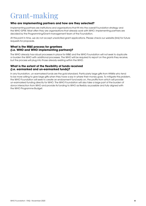### <span id="page-5-0"></span>Grant-making

#### **Who are implementing partners and how are they selected?**

Implementing partners are institutions and organisations that fit into the overall Foundation strategy and the WHO GPW. Most often they are organisations that already work with WHO. Implementing partners are decided by the Programming/Grant-management team of the Foundation.

At this point in time, we do not accept unsolicited grant applications. Please check our website (link) for future requests for proposals.

#### **What is the M&E process for grantees (i.e. WHO and WHO implementing partners)?**

The WHO already has robust processes in place for M&E and the WHO Foundation will not seek to duplicate or burden the WHO with additional processes. The WHO will be required to report on the grants they receive, but the process will plug into those already existing within the WHO.

#### **What is the extent of the flexibility of funds received (i.e. earmarked and un-earmarked funds)?**

In any foundation, un-earmarked funds are the gold standard. Particularly large gifts from HNWIs who tend to be more willing to give large gifts when they have a say in where their money goes. To mitigate this problem, the WHO Foundation will seek to create an endowment fund early on, the profits from which will provide un-earmarked funding directly for WHO. The WHO Foundation will also take a large part of the burden of donor interaction from WHO and provide its funding to WHO as flexibly as possible and fully aligned with the WHO Programme Budget.